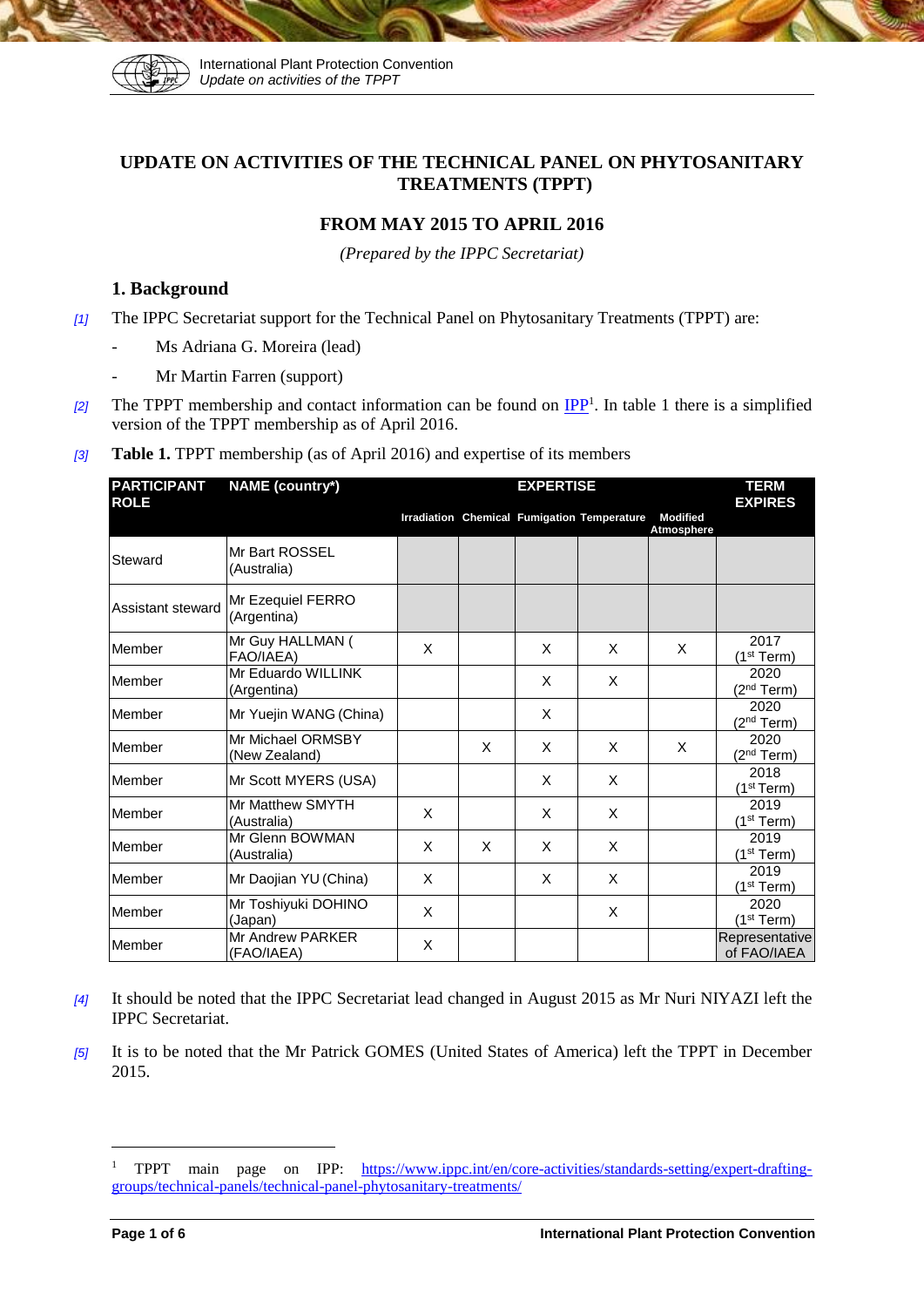

# **UPDATE ON ACTIVITIES OF THE TECHNICAL PANEL ON PHYTOSANITARY TREATMENTS (TPPT)**

#### **FROM MAY 2015 TO APRIL 2016**

*(Prepared by the IPPC Secretariat)*

#### **1. Background**

*[1]* The IPPC Secretariat support for the Technical Panel on Phytosanitary Treatments (TPPT) are:

- Ms Adriana G. Moreira (lead)
- Mr Martin Farren (support)
- [2] The TPPT membership and contact information can be found on  $\mathbb{IPP}^1$ . In table 1 there is a simplified version of the TPPT membership as of April 2016.
- *[3]* **Table 1.** TPPT membership (as of April 2016) and expertise of its members

| <b>PARTICIPANT</b><br><b>ROLE</b> | <b>NAME</b> (country*)             | <b>EXPERTISE</b> |   |   |                                             |                               | <b>TERM</b><br><b>EXPIRES</b>  |
|-----------------------------------|------------------------------------|------------------|---|---|---------------------------------------------|-------------------------------|--------------------------------|
|                                   |                                    |                  |   |   | Irradiation Chemical Fumigation Temperature | <b>Modified</b><br>Atmosphere |                                |
| Steward                           | Mr Bart ROSSEL<br>(Australia)      |                  |   |   |                                             |                               |                                |
| Assistant steward                 | Mr Ezequiel FERRO<br>(Argentina)   |                  |   |   |                                             |                               |                                |
| Member                            | Mr Guy HALLMAN (<br>FAO/IAEA)      | X                |   | X | X                                           | X                             | 2017<br>(1 <sup>st</sup> Term) |
| Member                            | Mr Eduardo WILLINK<br>(Argentina)  |                  |   | X | X                                           |                               | 2020<br>(2 <sup>nd</sup> Term) |
| Member                            | Mr Yuejin WANG (China)             |                  |   | X |                                             |                               | 2020<br>(2 <sup>nd</sup> Term) |
| Member                            | Mr Michael ORMSBY<br>(New Zealand) |                  | X | X | X                                           | X                             | 2020<br>(2 <sup>nd</sup> Term) |
| Member                            | Mr Scott MYERS (USA)               |                  |   | X | X                                           |                               | 2018<br>(1 <sup>st</sup> Term) |
| Member                            | Mr Matthew SMYTH<br>(Australia)    | X                |   | X | X                                           |                               | 2019<br>(1 <sup>st</sup> Term) |
| Member                            | Mr Glenn BOWMAN<br>(Australia)     | X                | X | X | X                                           |                               | 2019<br>(1 <sup>st</sup> Term) |
| Member                            | Mr Daojian YU (China)              | X                |   | X | X                                           |                               | 2019<br>(1 <sup>st</sup> Term) |
| Member                            | Mr Toshiyuki DOHINO<br>(Japan)     | X                |   |   | X                                           |                               | 2020<br>(1 <sup>st</sup> Term) |
| Member                            | Mr Andrew PARKER<br>(FAO/IAEA)     | X                |   |   |                                             |                               | Representative<br>of FAO/IAEA  |

- *[4]* It should be noted that the IPPC Secretariat lead changed in August 2015 as Mr Nuri NIYAZI left the IPPC Secretariat.
- *[5]* It is to be noted that the Mr Patrick GOMES (United States of America) left the TPPT in December 2015.

1

<sup>&</sup>lt;sup>1</sup> TPPT main page on IPP: [https://www.ippc.int/en/core-activities/standards-setting/expert-drafting](https://www.ippc.int/en/core-activities/standards-setting/expert-drafting-groups/technical-panels/technical-panel-phytosanitary-treatments/)[groups/technical-panels/technical-panel-phytosanitary-treatments/](https://www.ippc.int/en/core-activities/standards-setting/expert-drafting-groups/technical-panels/technical-panel-phytosanitary-treatments/)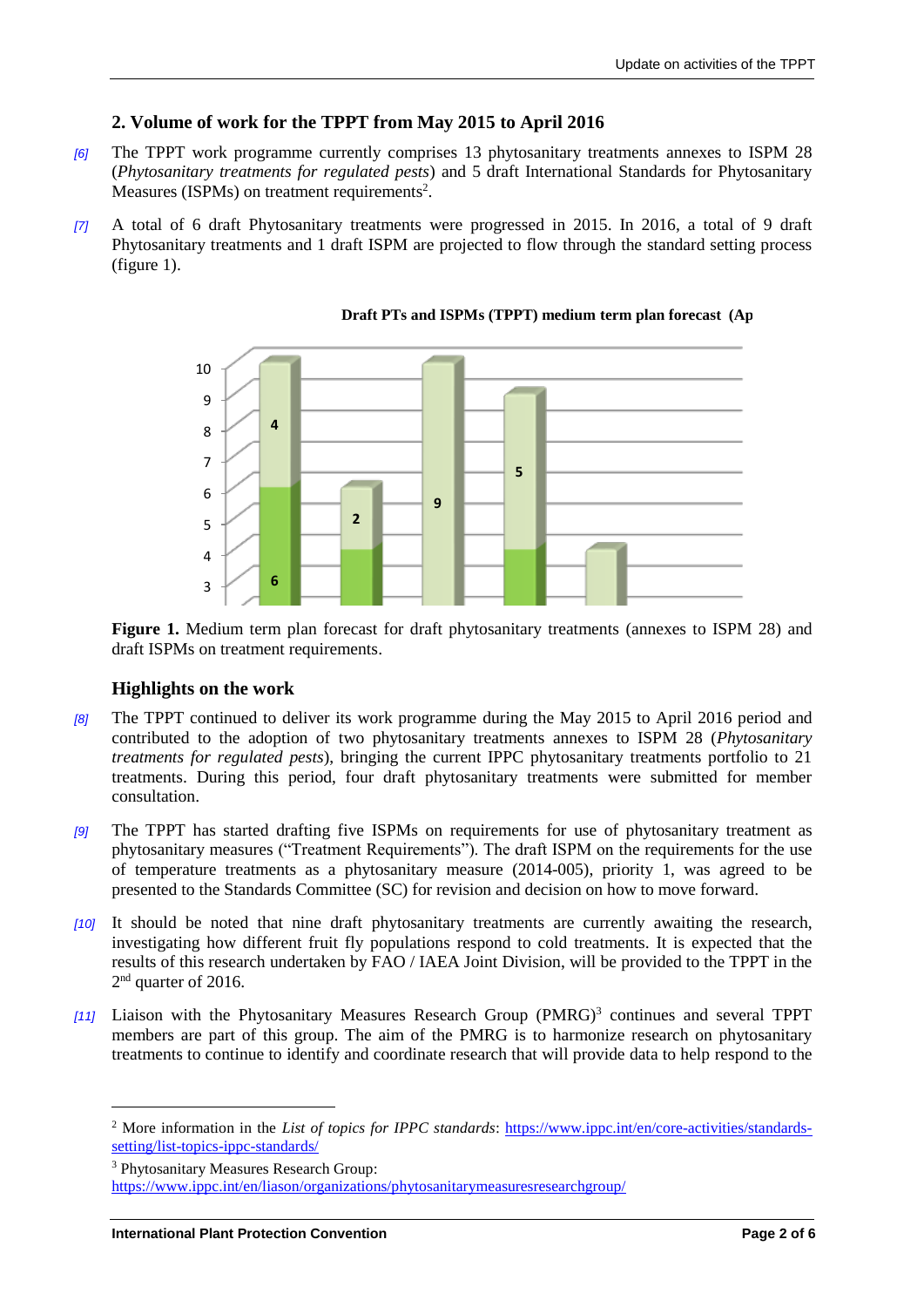### **2. Volume of work for the TPPT from May 2015 to April 2016**

- *[6]* The TPPT work programme currently comprises 13 phytosanitary treatments annexes to ISPM 28 (*Phytosanitary treatments for regulated pests*) and 5 draft International Standards for Phytosanitary Measures (ISPMs) on treatment requirements<sup>2</sup>.
- *[7]* A total of 6 draft Phytosanitary treatments were progressed in 2015. In 2016, a total of 9 draft Phytosanitary treatments and 1 draft ISPM are projected to flow through the standard setting process (figure 1).



**Draft PTs and ISPMs (TPPT) medium term plan forecast (April 2016)** 

Figure 1. Medium term plan forecast for draft phytosanitary treatments (annexes to ISPM 28) and draft ISPMs on treatment requirements.

#### **Highlights on the work**

- *[8]* The TPPT continued to deliver its work programme during the May 2015 to April 2016 period and contributed to the adoption of two phytosanitary treatments annexes to ISPM 28 (*Phytosanitary treatments for regulated pests*), bringing the current IPPC phytosanitary treatments portfolio to 21 treatments. During this period, four draft phytosanitary treatments were submitted for member consultation.
- *[9]* The TPPT has started drafting five ISPMs on requirements for use of phytosanitary treatment as phytosanitary measures ("Treatment Requirements"). The draft ISPM on the requirements for the use of temperature treatments as a phytosanitary measure (2014-005), priority 1, was agreed to be presented to the Standards Committee (SC) for revision and decision on how to move forward.
- *[10]* It should be noted that nine draft phytosanitary treatments are currently awaiting the research, investigating how different fruit fly populations respond to cold treatments. It is expected that the results of this research undertaken by FAO / IAEA Joint Division, will be provided to the TPPT in the 2<sup>nd</sup> quarter of 2016.
- [11] Liaison with the Phytosanitary Measures Research Group (PMRG)<sup>3</sup> continues and several TPPT members are part of this group. The aim of the PMRG is to harmonize research on phytosanitary treatments to continue to identify and coordinate research that will provide data to help respond to the

-

<sup>&</sup>lt;sup>2</sup> More information in the *List of topics for IPPC standards*: [https://www.ippc.int/en/core-activities/standards](https://www.ippc.int/en/core-activities/standards-setting/list-topics-ippc-standards/)[setting/list-topics-ippc-standards/](https://www.ippc.int/en/core-activities/standards-setting/list-topics-ippc-standards/)

<sup>3</sup> Phytosanitary Measures Research Group: <https://www.ippc.int/en/liason/organizations/phytosanitarymeasuresresearchgroup/>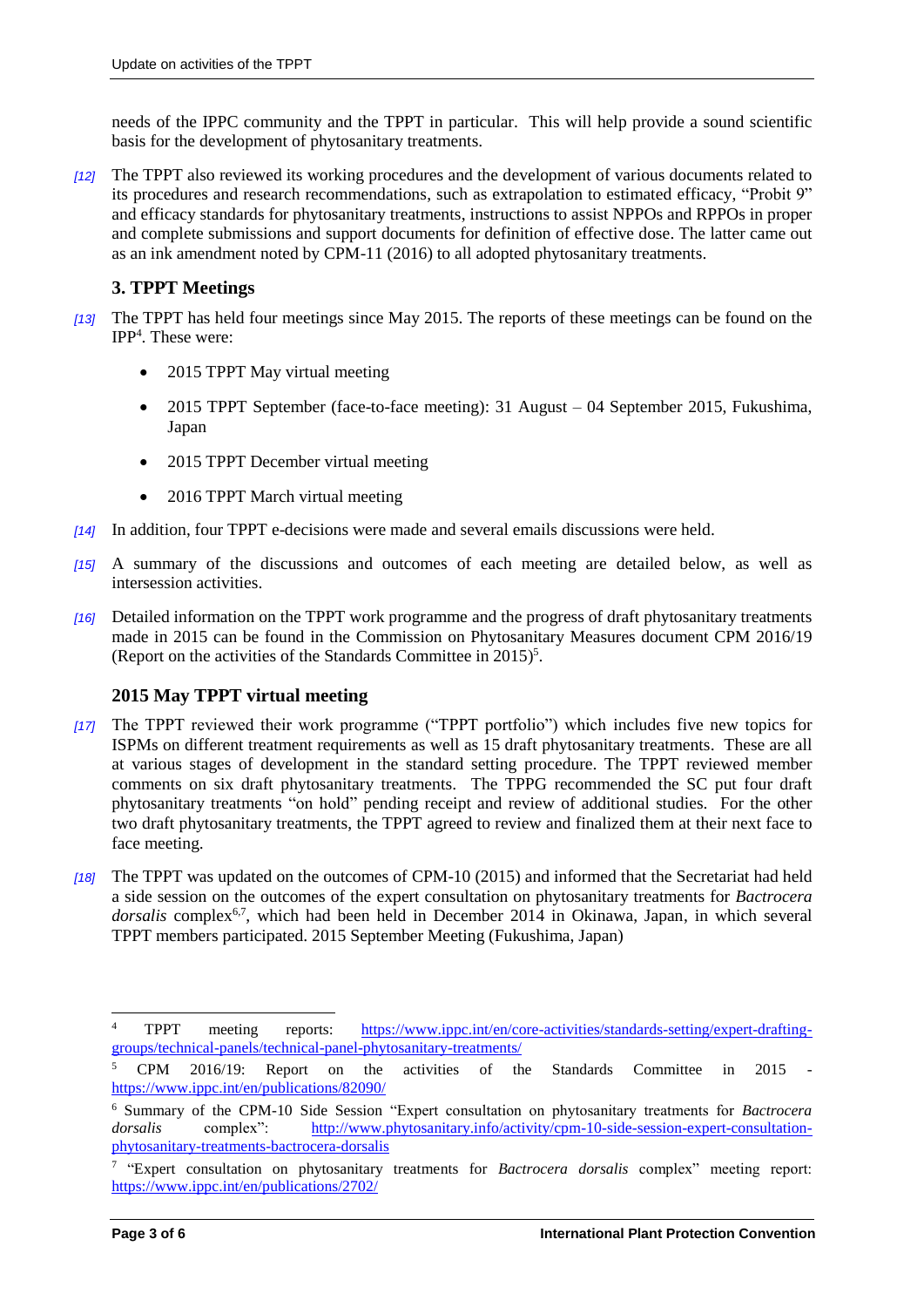needs of the IPPC community and the TPPT in particular. This will help provide a sound scientific basis for the development of phytosanitary treatments.

*[12]* The TPPT also reviewed its working procedures and the development of various documents related to its procedures and research recommendations, such as extrapolation to estimated efficacy, "Probit 9" and efficacy standards for phytosanitary treatments, instructions to assist NPPOs and RPPOs in proper and complete submissions and support documents for definition of effective dose. The latter came out as an ink amendment noted by CPM-11 (2016) to all adopted phytosanitary treatments.

## **3. TPPT Meetings**

- *[13]* The TPPT has held four meetings since May 2015. The reports of these meetings can be found on the IPP<sup>4</sup> . These were:
	- 2015 TPPT May virtual meeting
	- 2015 TPPT September (face-to-face meeting): 31 August 04 September 2015, Fukushima, Japan
	- 2015 TPPT December virtual meeting
	- 2016 TPPT March virtual meeting
- *[14]* In addition, four TPPT e-decisions were made and several emails discussions were held.
- *[15]* A summary of the discussions and outcomes of each meeting are detailed below, as well as intersession activities.
- *[16]* Detailed information on the TPPT work programme and the progress of draft phytosanitary treatments made in 2015 can be found in the Commission on Phytosanitary Measures document CPM 2016/19 (Report on the activities of the Standards Committee in 2015) 5 .

# **2015 May TPPT virtual meeting**

- *[17]* The TPPT reviewed their work programme ("TPPT portfolio") which includes five new topics for ISPMs on different treatment requirements as well as 15 draft phytosanitary treatments. These are all at various stages of development in the standard setting procedure. The TPPT reviewed member comments on six draft phytosanitary treatments. The TPPG recommended the SC put four draft phytosanitary treatments "on hold" pending receipt and review of additional studies. For the other two draft phytosanitary treatments, the TPPT agreed to review and finalized them at their next face to face meeting.
- *[18]* The TPPT was updated on the outcomes of CPM-10 (2015) and informed that the Secretariat had held a side session on the outcomes of the expert consultation on phytosanitary treatments for *Bactrocera*  dorsalis complex<sup>6,7</sup>, which had been held in December 2014 in Okinawa, Japan, in which several TPPT members participated. 2015 September Meeting (Fukushima, Japan)

 $\overline{4}$ <sup>4</sup> TPPT meeting reports: [https://www.ippc.int/en/core-activities/standards-setting/expert-drafting](https://www.ippc.int/en/core-activities/standards-setting/expert-drafting-groups/technical-panels/technical-panel-phytosanitary-treatments/)[groups/technical-panels/technical-panel-phytosanitary-treatments/](https://www.ippc.int/en/core-activities/standards-setting/expert-drafting-groups/technical-panels/technical-panel-phytosanitary-treatments/)

<sup>5</sup> CPM 2016/19: Report on the activities of the Standards Committee in 2015 <https://www.ippc.int/en/publications/82090/>

<sup>6</sup> Summary of the CPM-10 Side Session "Expert consultation on phytosanitary treatments for *Bactrocera dorsalis* complex": [http://www.phytosanitary.info/activity/cpm-10-side-session-expert-consultation](http://www.phytosanitary.info/activity/cpm-10-side-session-expert-consultation-phytosanitary-treatments-bactrocera-dorsalis)[phytosanitary-treatments-bactrocera-dorsalis](http://www.phytosanitary.info/activity/cpm-10-side-session-expert-consultation-phytosanitary-treatments-bactrocera-dorsalis)

<sup>7</sup> "Expert consultation on phytosanitary treatments for *Bactrocera dorsalis* complex" meeting report: <https://www.ippc.int/en/publications/2702/>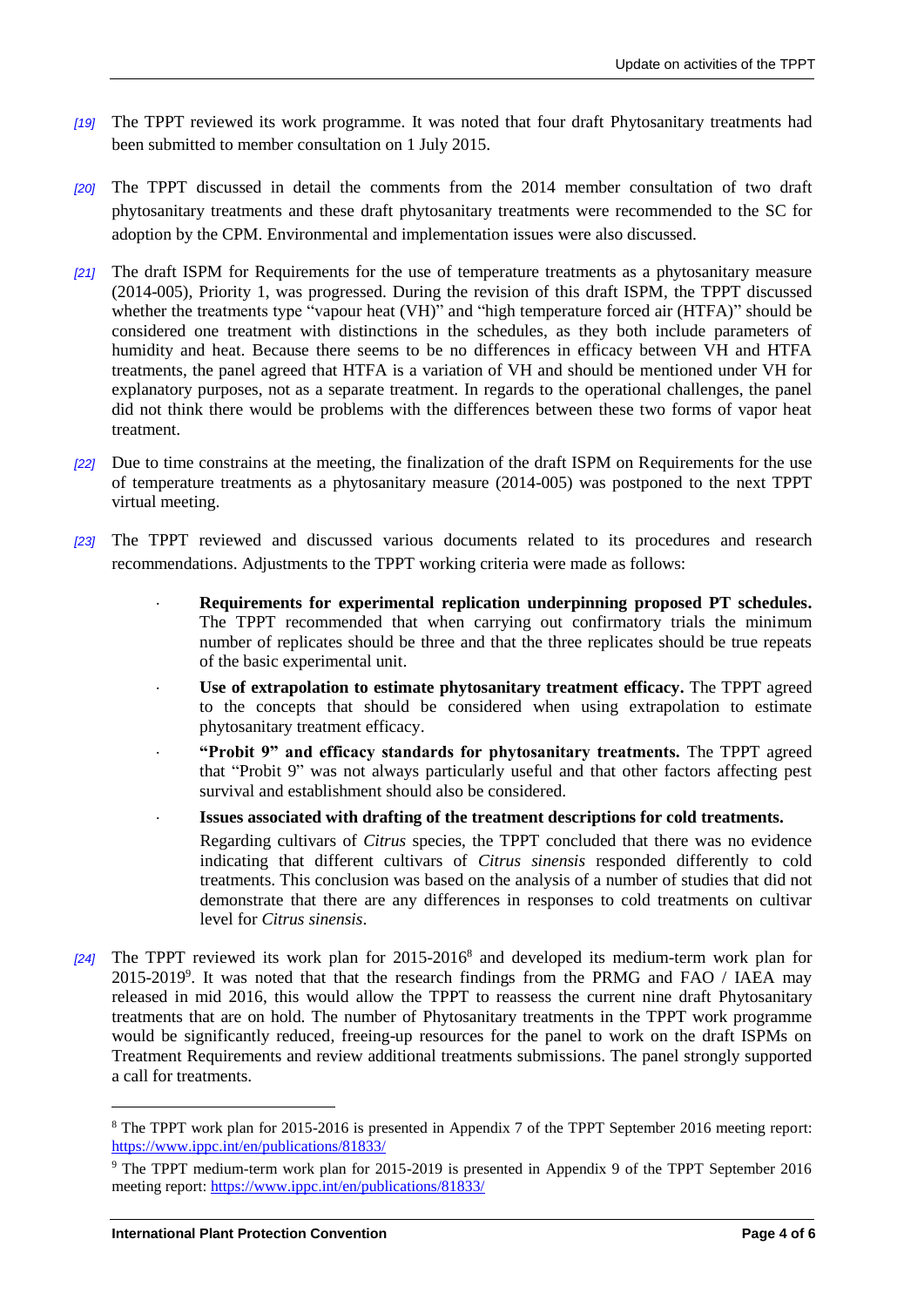- *[19]* The TPPT reviewed its work programme. It was noted that four draft Phytosanitary treatments had been submitted to member consultation on 1 July 2015.
- *[20]* The TPPT discussed in detail the comments from the 2014 member consultation of two draft phytosanitary treatments and these draft phytosanitary treatments were recommended to the SC for adoption by the CPM. Environmental and implementation issues were also discussed.
- *[21]* The draft ISPM for Requirements for the use of temperature treatments as a phytosanitary measure (2014-005), Priority 1, was progressed. During the revision of this draft ISPM, the TPPT discussed whether the treatments type "vapour heat (VH)" and "high temperature forced air (HTFA)" should be considered one treatment with distinctions in the schedules, as they both include parameters of humidity and heat. Because there seems to be no differences in efficacy between VH and HTFA treatments, the panel agreed that HTFA is a variation of VH and should be mentioned under VH for explanatory purposes, not as a separate treatment. In regards to the operational challenges, the panel did not think there would be problems with the differences between these two forms of vapor heat treatment.
- *[22]* Due to time constrains at the meeting, the finalization of the draft ISPM on Requirements for the use of temperature treatments as a phytosanitary measure (2014-005) was postponed to the next TPPT virtual meeting.
- *[23]* The TPPT reviewed and discussed various documents related to its procedures and research recommendations. Adjustments to the TPPT working criteria were made as follows:
	- **Requirements for experimental replication underpinning proposed PT schedules.** The TPPT recommended that when carrying out confirmatory trials the minimum number of replicates should be three and that the three replicates should be true repeats of the basic experimental unit.
	- **Use of extrapolation to estimate phytosanitary treatment efficacy.** The TPPT agreed to the concepts that should be considered when using extrapolation to estimate phytosanitary treatment efficacy.
	- **"Probit 9" and efficacy standards for phytosanitary treatments.** The TPPT agreed that "Probit 9" was not always particularly useful and that other factors affecting pest survival and establishment should also be considered.
	- **Issues associated with drafting of the treatment descriptions for cold treatments.**  Regarding cultivars of *Citrus* species, the TPPT concluded that there was no evidence indicating that different cultivars of *Citrus sinensis* responded differently to cold treatments. This conclusion was based on the analysis of a number of studies that did not demonstrate that there are any differences in responses to cold treatments on cultivar level for *Citrus sinensis*.
- *[24]* The TPPT reviewed its work plan for 2015-2016<sup>8</sup> and developed its medium-term work plan for  $2015-2019$ <sup>9</sup>. It was noted that that the research findings from the PRMG and FAO / IAEA may released in mid 2016, this would allow the TPPT to reassess the current nine draft Phytosanitary treatments that are on hold. The number of Phytosanitary treatments in the TPPT work programme would be significantly reduced, freeing-up resources for the panel to work on the draft ISPMs on Treatment Requirements and review additional treatments submissions. The panel strongly supported a call for treatments.

-

<sup>8</sup> The TPPT work plan for 2015-2016 is presented in Appendix 7 of the TPPT September 2016 meeting report: <https://www.ippc.int/en/publications/81833/>

<sup>9</sup> The TPPT medium-term work plan for 2015-2019 is presented in Appendix 9 of the TPPT September 2016 meeting report:<https://www.ippc.int/en/publications/81833/>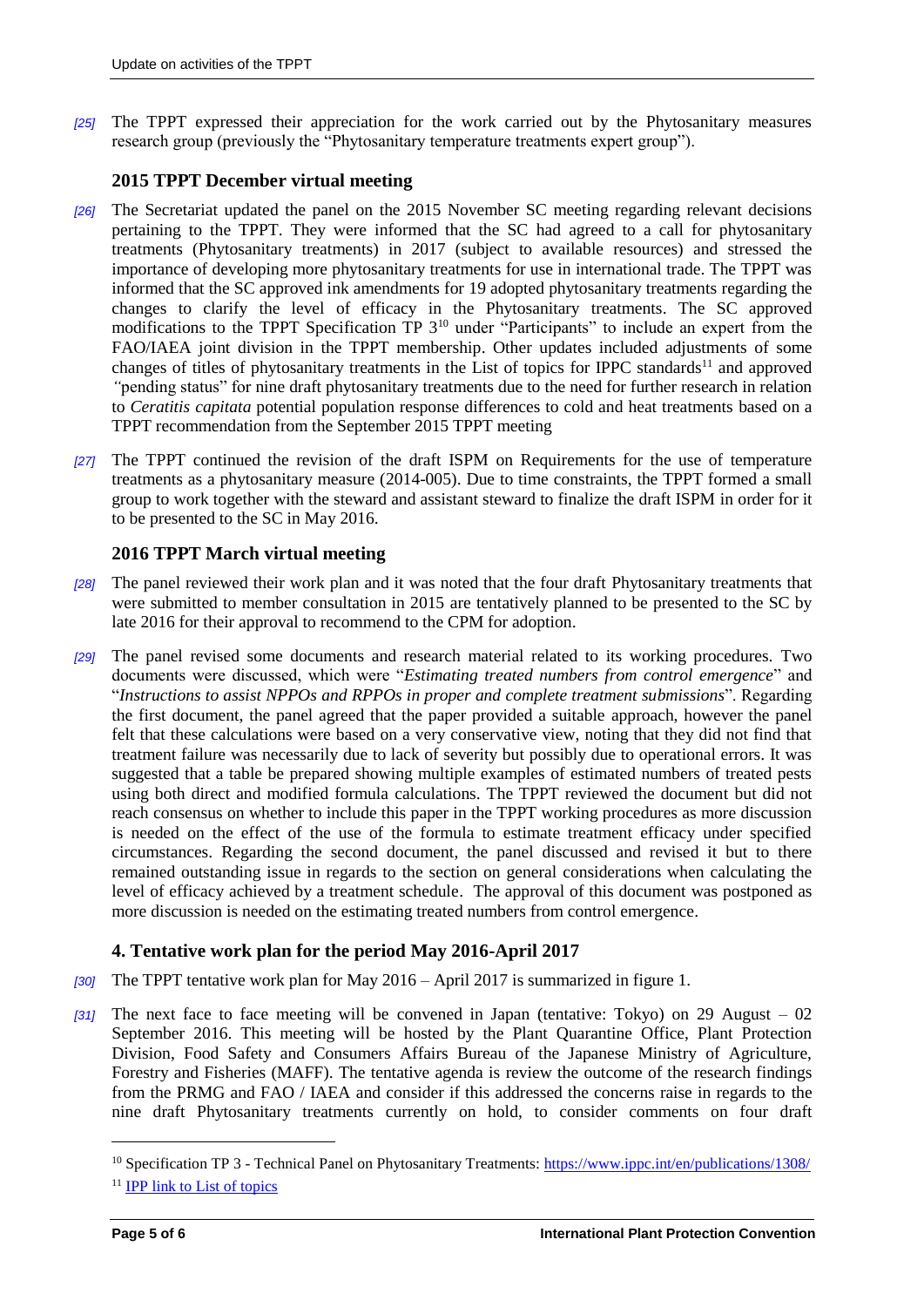*[25]* The TPPT expressed their appreciation for the work carried out by the Phytosanitary measures research group (previously the "Phytosanitary temperature treatments expert group").

## **2015 TPPT December virtual meeting**

- *[26]* The Secretariat updated the panel on the 2015 November SC meeting regarding relevant decisions pertaining to the TPPT. They were informed that the SC had agreed to a call for phytosanitary treatments (Phytosanitary treatments) in 2017 (subject to available resources) and stressed the importance of developing more phytosanitary treatments for use in international trade. The TPPT was informed that the SC approved ink amendments for 19 adopted phytosanitary treatments regarding the changes to clarify the level of efficacy in the Phytosanitary treatments. The SC approved modifications to the TPPT Specification TP 3<sup>10</sup> under "Participants" to include an expert from the FAO/IAEA joint division in the TPPT membership. Other updates included adjustments of some changes of titles of phytosanitary treatments in the List of topics for IPPC standards<sup>11</sup> and approved *"*pending status" for nine draft phytosanitary treatments due to the need for further research in relation to *Ceratitis capitata* potential population response differences to cold and heat treatments based on a TPPT recommendation from the September 2015 TPPT meeting
- *[27]* The TPPT continued the revision of the draft ISPM on Requirements for the use of temperature treatments as a phytosanitary measure (2014-005). Due to time constraints, the TPPT formed a small group to work together with the steward and assistant steward to finalize the draft ISPM in order for it to be presented to the SC in May 2016.

## **2016 TPPT March virtual meeting**

- *[28]* The panel reviewed their work plan and it was noted that the four draft Phytosanitary treatments that were submitted to member consultation in 2015 are tentatively planned to be presented to the SC by late 2016 for their approval to recommend to the CPM for adoption.
- *[29]* The panel revised some documents and research material related to its working procedures. Two documents were discussed, which were "*Estimating treated numbers from control emergence*" and "*Instructions to assist NPPOs and RPPOs in proper and complete treatment submissions*". Regarding the first document, the panel agreed that the paper provided a suitable approach, however the panel felt that these calculations were based on a very conservative view, noting that they did not find that treatment failure was necessarily due to lack of severity but possibly due to operational errors. It was suggested that a table be prepared showing multiple examples of estimated numbers of treated pests using both direct and modified formula calculations. The TPPT reviewed the document but did not reach consensus on whether to include this paper in the TPPT working procedures as more discussion is needed on the effect of the use of the formula to estimate treatment efficacy under specified circumstances. Regarding the second document, the panel discussed and revised it but to there remained outstanding issue in regards to the section on general considerations when calculating the level of efficacy achieved by a treatment schedule. The approval of this document was postponed as more discussion is needed on the estimating treated numbers from control emergence.

#### **4. Tentative work plan for the period May 2016-April 2017**

- *[30]* The TPPT tentative work plan for May 2016 April 2017 is summarized in figure 1.
- *[31]* The next face to face meeting will be convened in Japan (tentative: Tokyo) on 29 August 02 September 2016. This meeting will be hosted by the Plant Quarantine Office, Plant Protection Division, Food Safety and Consumers Affairs Bureau of the Japanese Ministry of Agriculture, Forestry and Fisheries (MAFF). The tentative agenda is review the outcome of the research findings from the PRMG and FAO / IAEA and consider if this addressed the concerns raise in regards to the nine draft Phytosanitary treatments currently on hold, to consider comments on four draft

1

<sup>&</sup>lt;sup>10</sup> Specification TP 3 - Technical Panel on Phytosanitary Treatments[: https://www.ippc.int/en/publications/1308/](https://www.ippc.int/en/publications/1308/)

<sup>&</sup>lt;sup>11</sup> [IPP link to List of topics](https://www.ippc.int/publications/list-topics-ippc-standards)